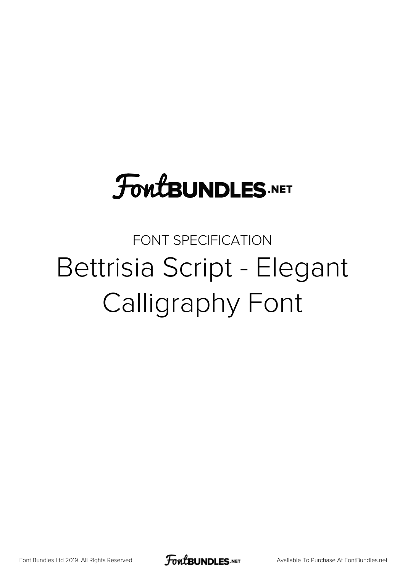# **FoutBUNDLES.NET**

# FONT SPECIFICATION Bettrisia Script - Elegant Calligraphy Font

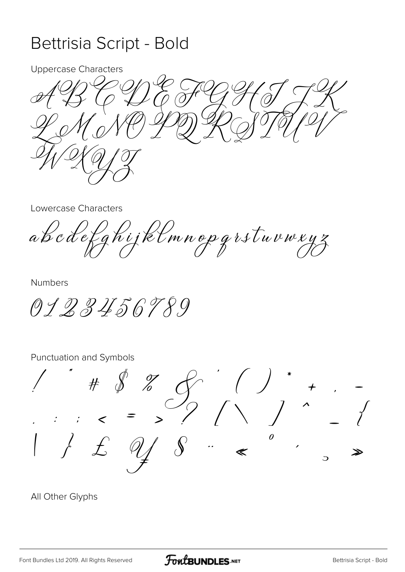#### Bettrisia Script - Bold

**Uppercase Characters** 

0

Lowercase Characters

abcdefghijklmnopgrstuvwxyz

**Numbers** 

0123456789

Punctuation and Symbols

 $\# \t\text{\AA} \t\frac{1}{6}$  $\theta$  $\mathbb{R}^{\mathbb{Z}^2}$  $\triangleright$ 

All Other Glyphs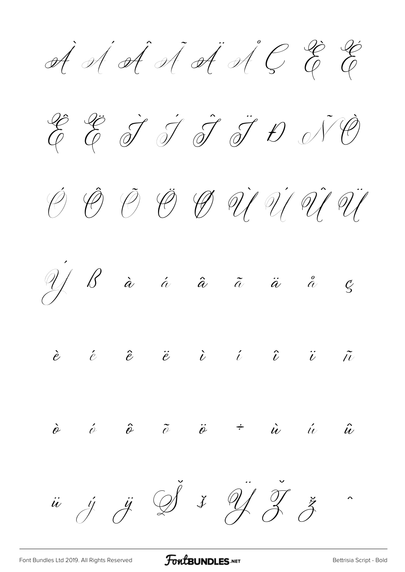**À Á Â Ã Ä Å Ç È É**













[Font Bundles Ltd 2019. All Rights Reserved](https://fontbundles.net/) **FoutBUNDLES.NET** Script - Bold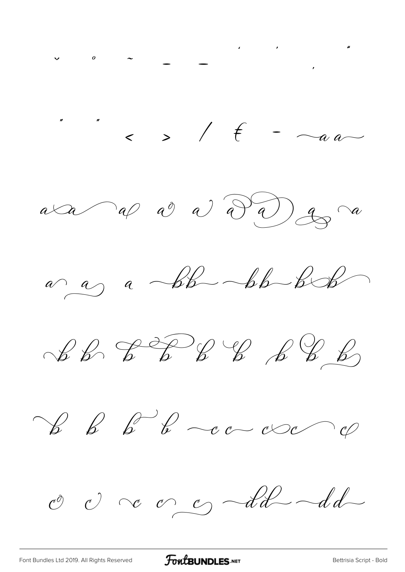$\frac{1}{2}$  ,  $\frac{1}{2}$  ,  $\frac{1}{2}$  ,  $\frac{1}{2}$  ,  $\frac{1}{2}$  ,  $\frac{1}{2}$  ,  $\frac{1}{2}$  ,  $\frac{1}{2}$  ,  $\frac{1}{2}$  ,  $\frac{1}{2}$  ,  $\frac{1}{2}$  ,  $\frac{1}{2}$  ,  $\frac{1}{2}$  ,  $\frac{1}{2}$  ,  $\frac{1}{2}$  ,  $\frac{1}{2}$  ,  $\frac{1}{2}$  ,  $\frac{1}{2}$  ,  $\frac{1$  $a \triangleleft a \curvearrowright a$  a  $a \curvearrowleft a$  $a \rightarrow a$  abb bb bb  $\mathcal{L} \mathcal{L} \rightarrow \mathcal{L} \rightarrow \mathcal{L} \rightarrow \mathcal{L} \rightarrow \mathcal{L} \rightarrow \mathcal{L}$ O O C O S Ad Ad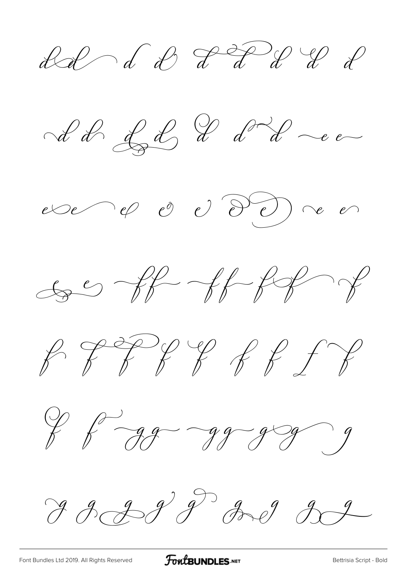ded de PF de le d











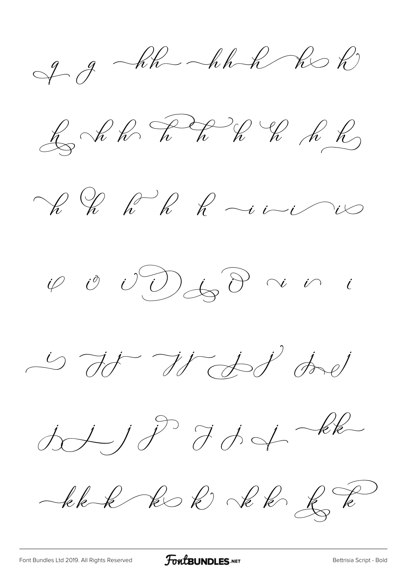$99-hh-hh-hbh$ 

 $\text{K} \text{K} \text{K} \text{K} \text{K} \text{K} \text{K} \text{K}$ 

Ve le R le rivier

 $\varphi\circ\vartheta\circ\bigcirc\textcircled{1}\hspace{-0.25em}\bigcirc\phi\circ\vartheta\;\;\rightsquigarrow\;\;i\quad$ 

is to Wood dad

 $dJJJ^{D}JdJ+dk$ 

ble k k l'él de la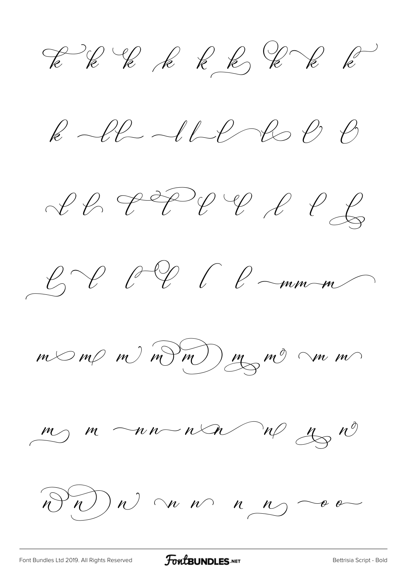EK E E E E E E E

 $k$  le 110 des  $e$   $e$ 

 $CPPPPP PPQQ$ 



 $m < m < m$  m m m m m m m

 $\frac{m}{\sim}$   $m \sim n \sim n \sim \sqrt[n]{\frac{m}{\sim}}$ 

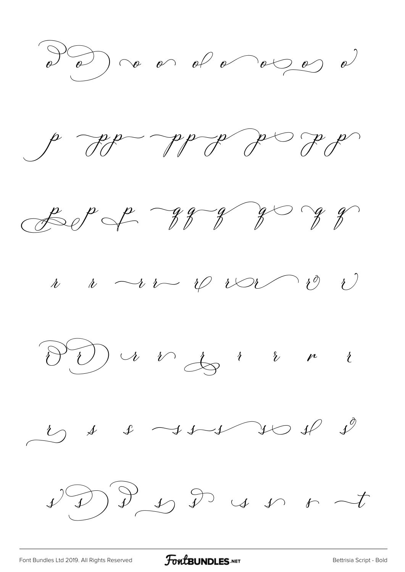









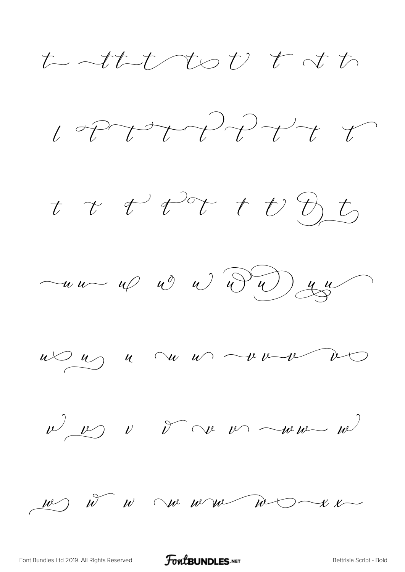せんしてんび よべ



t t t tot t t D t







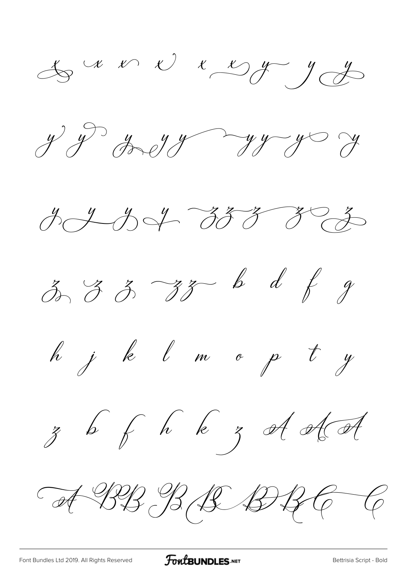$\stackrel{t}{\rightsquigarrow}$   $\stackrel{u}{\rightsquigarrow}$   $\stackrel{v}{\rightsquigarrow}$   $\stackrel{u}{\rightsquigarrow}$   $\stackrel{u}{\rightsquigarrow}$ 

 $y^{\prime}$  of the  $y^{\prime}$  of  $y^{\prime}$  of  $y^{\prime}$ 





h j k l m o p t y







A BB B B B B C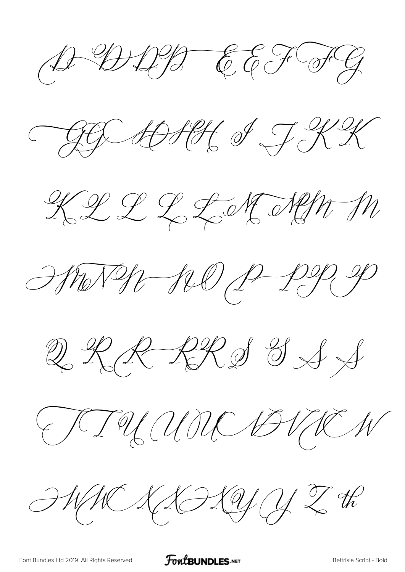$A \oplus A \oplus B$  EEFFIC

AGE ADSES OF KK



HENGE 120 P PR P

 $222209997$ 

FIUMME BUNEN

 $\mathcal{HWKAPQQZR}$ 

[Font Bundles Ltd 2019. All Rights Reserved](https://fontbundles.net/) **FoutBUNDLES.NET** Script - Bold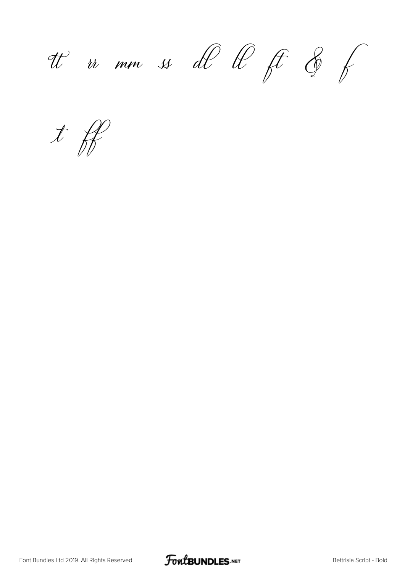tt ir mm ss dl ll ft & f

**ff**

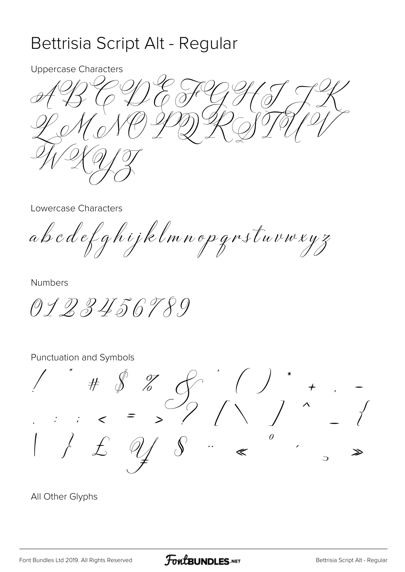## Bettrisia Script Alt - Regular

**Uppercase Characters** 

Lowercase Characters

abcdefghijklmnopgrstuvwxyz

**Numbers** 

0123456789

Punctuation and Symbols

 $\# \quad \ \ \, \mathscr{S} \quad \ \, \mathscr{Z}$  $\theta$  $\ddot{\cdot}$  $\ll$  $\overline{C}$ 

All Other Glyphs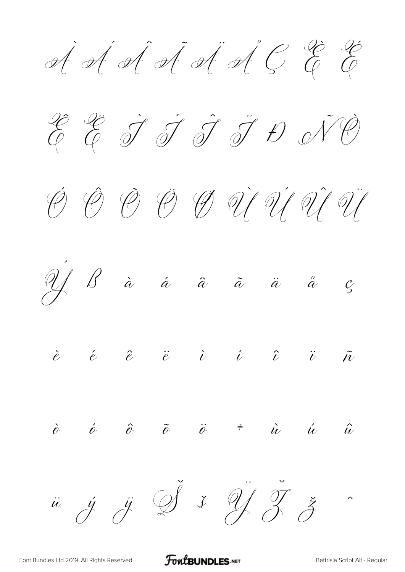À Á Â Ã Ä Å Ç È É









 $\dot{\hat{e}}$   $\hat{\phi}$   $\hat{\phi}$   $\ddot{\hat{e}}$   $\ddot{\hat{e}}$   $\dot{\hat{e}}$   $\dot{\hat{e}}$   $\ddot{\hat{u}}$   $\ddot{\hat{u}}$   $\ddot{\hat{u}}$ 

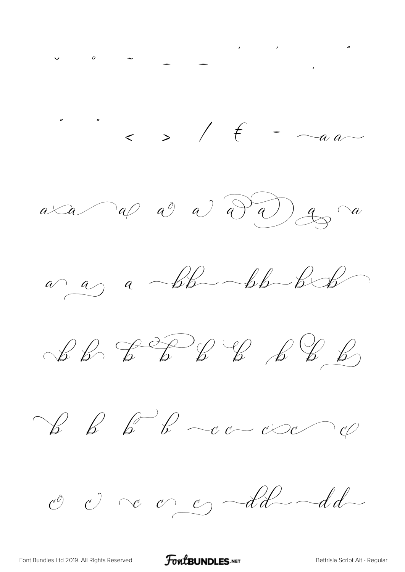$\frac{1}{2}$  ,  $\frac{1}{2}$  ,  $\frac{1}{2}$  ,  $\frac{1}{2}$  ,  $\frac{1}{2}$  ,  $\frac{1}{2}$  ,  $\frac{1}{2}$  ,  $\frac{1}{2}$  ,  $\frac{1}{2}$  ,  $\frac{1}{2}$  ,  $\frac{1}{2}$  ,  $\frac{1}{2}$  ,  $\frac{1}{2}$  ,  $\frac{1}{2}$  ,  $\frac{1}{2}$  ,  $\frac{1}{2}$  ,  $\frac{1}{2}$  ,  $\frac{1}{2}$  ,  $\frac{1$  $a \triangleleft a \curvearrowright a$  a  $a \curvearrowleft a$  $a \rightarrow a$  abb-bb-bb  $\mathcal{L} \mathcal{L} \mathcal{L} \mathcal{L} \mathcal{L} \mathcal{L} \mathcal{L} \mathcal{L} \mathcal{L} \mathcal{L} \mathcal{L}$  $\begin{array}{c} \mathscr{C} & \mathscr{C} & \mathscr{C} & \mathscr{C} & \mathscr{C} & \mathscr{C} \end{array}$ O c c c dd-dd-

FontBUNDLES.NET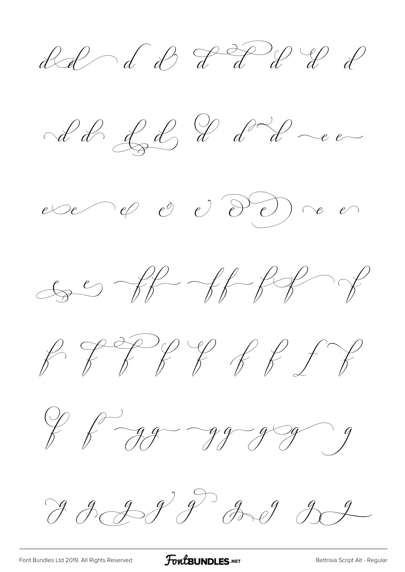del de PFU de l









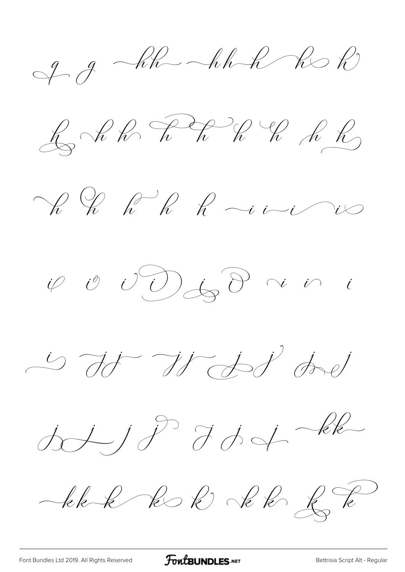$99 - kk - hhR - kbh$ 

 $\bigoplus_{i=1}^n\mathcal{A}_i\otimes\bigotimes_{i=1}^n\mathcal{A}_i\otimes\bigotimes_{i=1}^n\mathcal{A}_i\otimes\bigotimes_{i=1}^n\mathcal{A}_i$ 

Vi Uh R R vivi

is it It det het

 $d\sqrt{j}$  default

blek k R Jek L R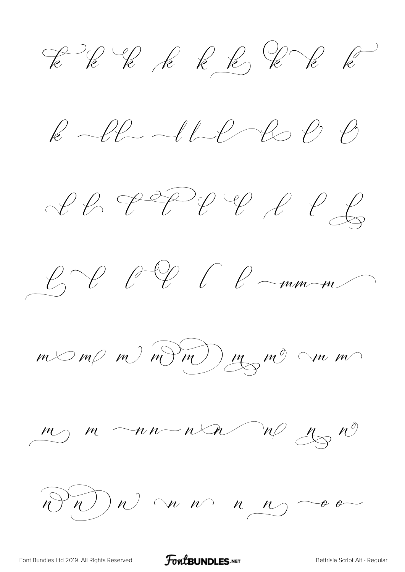EK E E E E E E E

 $k$  -ll-1L R C B

 $CPPPPPLPCQ$ 



 $m < m$  m)  $m$  m)  $m$  m m

 $\frac{m}{\sqrt{m}}$   $\frac{m}{\sqrt{m}}$   $\frac{n\sqrt{m}}{m}$   $\frac{m}{\sqrt{m}}$   $\frac{n\sqrt{m}}{m}$ 

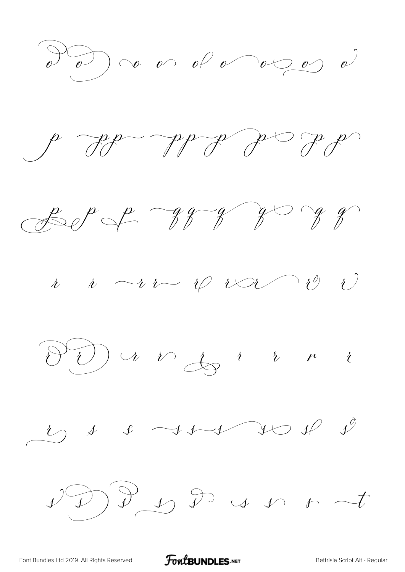











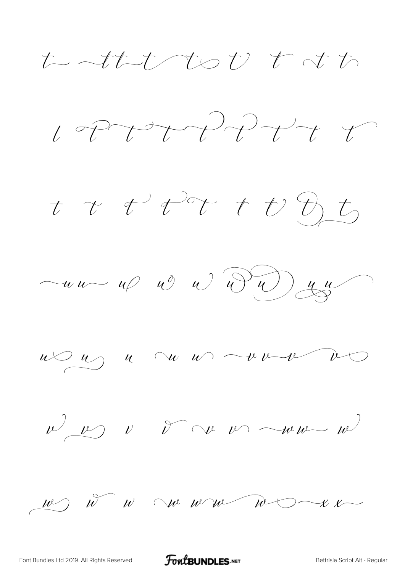たっせたんたけ とさた



t t t tot t t D t







 $u$   $\omega$   $u$   $u$   $w$   $u$   $w$   $w$   $w$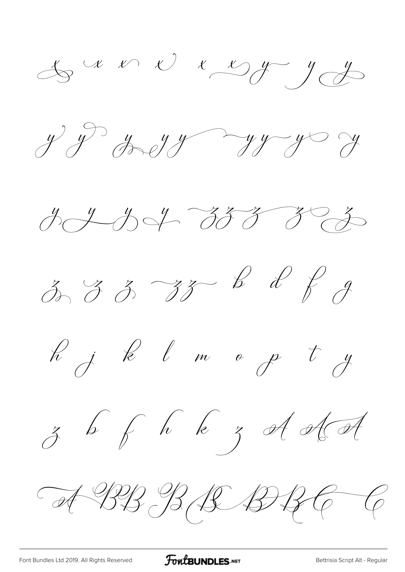$\bigoplus_{\mathscr{A}}\mathscr{A} \times \mathscr{A} \times \bigoplus_{\mathscr{A}} \mathscr{A} \rightarrow \bigoplus_{\mathscr{A}} \mathscr{A}$ 

 $y^{\prime}$  y greys y y y y y





R j k l m o p t y







A BB B B BBC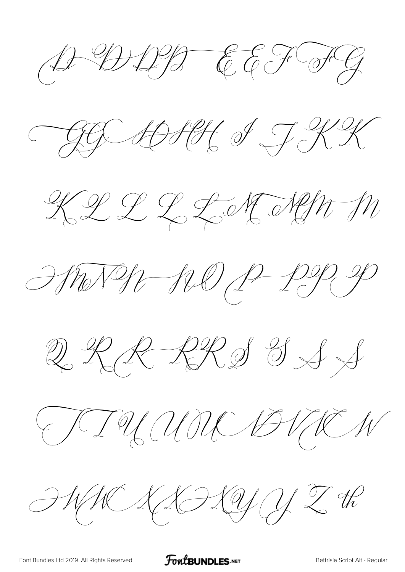$A-BDBEGEFG$ 

AGE ANNE I JKK

KLL LL K NOMM

Morge 120 p pg g

 $\mathbb{Q} \mathcal{R} \mathcal{R} \mathcal{R} \mathcal{S} \mathcal{S} \mathcal{A}$ 

FIUMM BUCH

 $\mathcal{HWKAPQQZR}$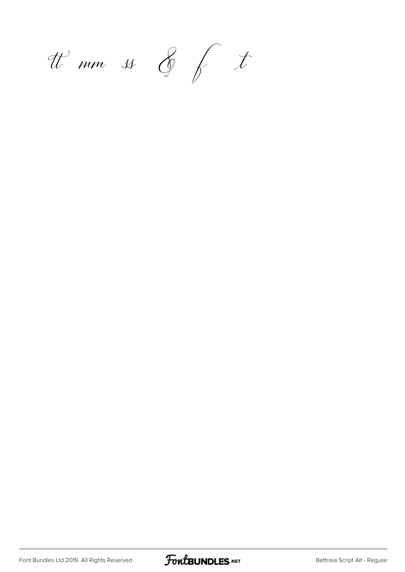tt mm ss & f t

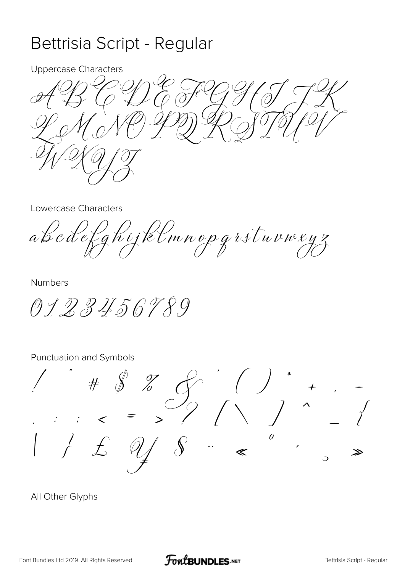## Bettrisia Script - Regular

**Uppercase Characters** 

**Lowercase Characters** 

abcdefghijklmnopgrstuvwxyz

**Numbers** 

0123456789

Punctuation and Symbols

 $\# \circ \frac{\sqrt{2}}{2}$  $\theta$  $\ddot{\cdot}$  $\overline{C}$ 

All Other Glyphs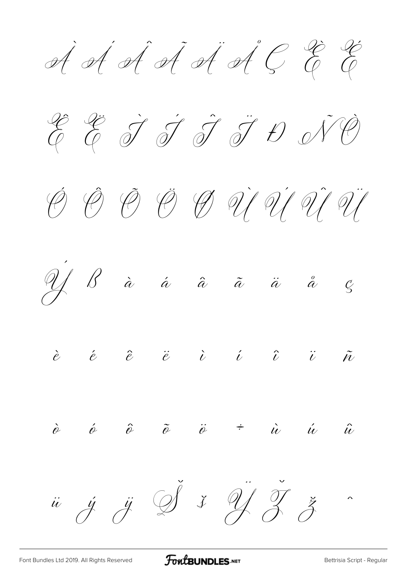À Á Â Ã Ä Å Ç È É









 $\dot{\hat{e}}$   $\hat{\phi}$   $\hat{\phi}$   $\ddot{\hat{e}}$   $\ddot{\hat{e}}$   $\dot{\hat{e}}$   $\dot{\hat{e}}$   $\ddot{\hat{u}}$   $\ddot{\hat{u}}$   $\ddot{\hat{u}}$ 

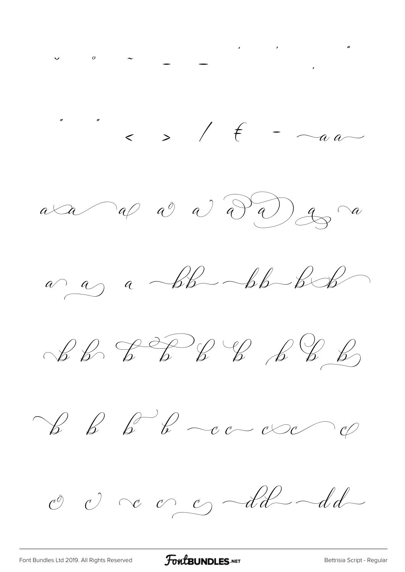$\frac{1}{2}$  ,  $\frac{1}{2}$  ,  $\frac{1}{2}$  ,  $\frac{1}{2}$  ,  $\frac{1}{2}$  ,  $\frac{1}{2}$  ,  $\frac{1}{2}$  ,  $\frac{1}{2}$  ,  $\frac{1}{2}$  ,  $\frac{1}{2}$  ,  $\frac{1}{2}$  ,  $\frac{1}{2}$  ,  $\frac{1}{2}$  ,  $\frac{1}{2}$  ,  $\frac{1}{2}$  ,  $\frac{1}{2}$  ,  $\frac{1}{2}$  ,  $\frac{1}{2}$  ,  $\frac{1$  $a \triangleleft a \curvearrowright a$  a  $a \curvearrowleft a$  $a \rightarrow a$  abb-bb-bb  $\mathcal{L} \mathcal{L} \mathcal{L} \mathcal{L} \mathcal{L} \mathcal{L} \mathcal{L} \mathcal{L} \mathcal{L} \mathcal{L} \mathcal{L}$  $\begin{array}{c} \mathscr{C} & \mathscr{C} & \mathscr{C} & \mathscr{C} & \mathscr{C} & \mathscr{C} \end{array}$ O c c c dd-dd-

FontBUNDLES.NET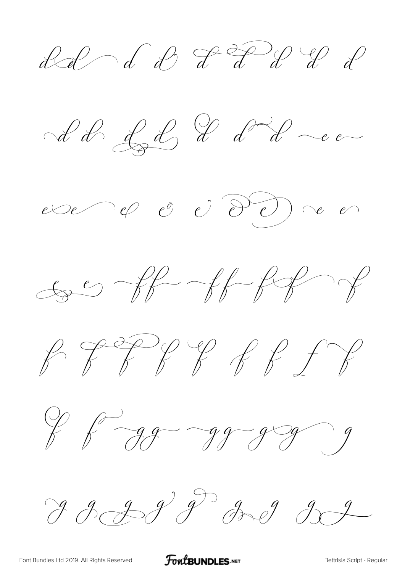ded de PFW de









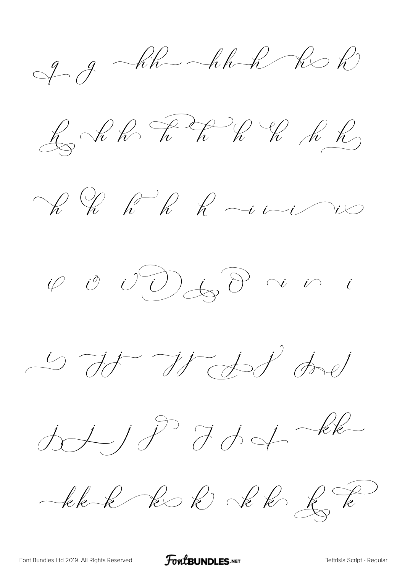$99 - kk - hhR - kbh$ 

 $\bigoplus_{i=1}^n\mathcal{A}_i\otimes\bigotimes_{i=1}^n\mathcal{A}_i\otimes\bigotimes_{i=1}^n\mathcal{A}_i\otimes\bigotimes_{i=1}^n\mathcal{A}_i$ 

Vi Uh R R vivi

is it It det het

 $d\sqrt{j}$  default

blek k R Jek L R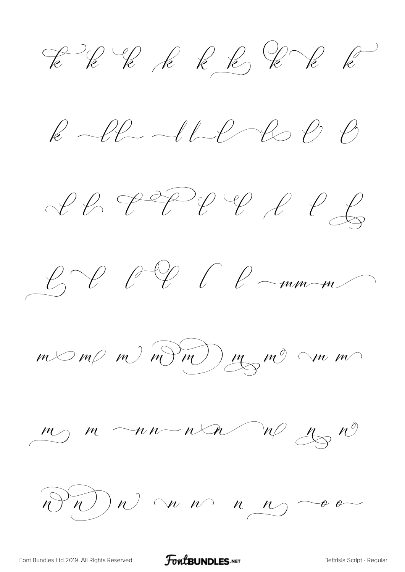EK E E E E E E E

 $k$  -ll-1L R C B

 $CPPPPPLPCQ$ 



 $m < m$  m)  $m$  m)  $m$  m m

 $\frac{m}{\sqrt{m}}$   $\frac{m}{\sqrt{m}}$   $\frac{n\sqrt{m}}{m}$   $\frac{m}{\sqrt{m}}$   $\frac{n\sqrt{m}}{m}$ 

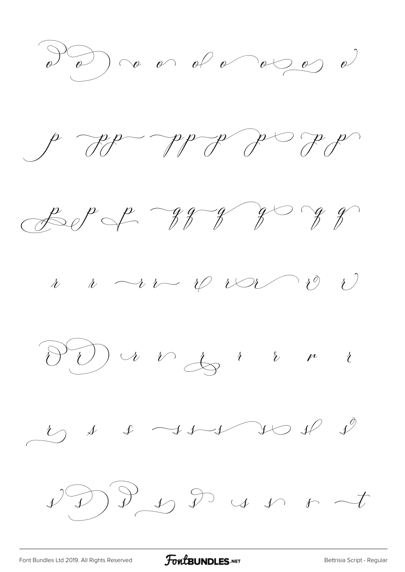











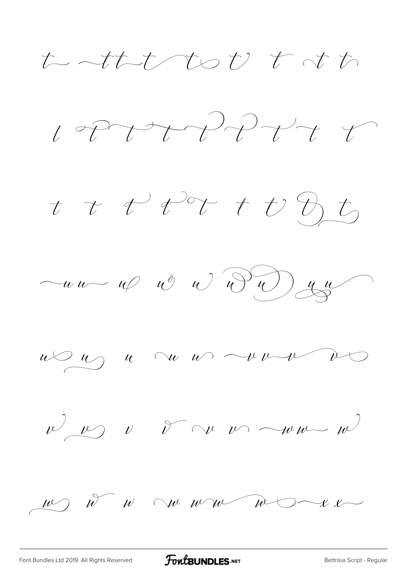たっせたためり とする



t t t tot t t D, t,







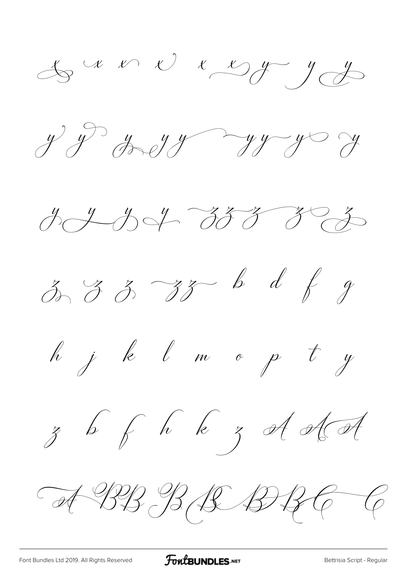$x \vee y$   $y \vee y$ 

 $y^{\prime}$  of grays and  $y^{\prime}$  you





h j k l m o p t y







A BB B B B B C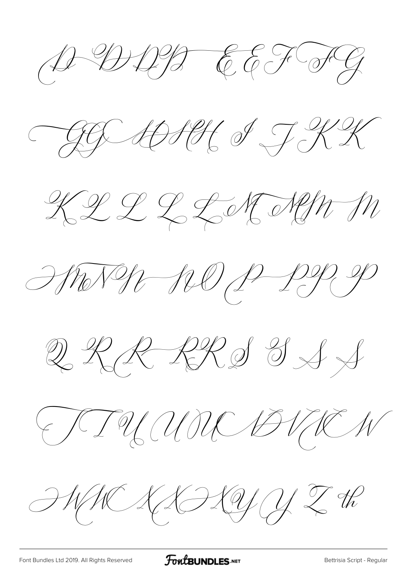$A-BDBEGEFG$ 

AGE ANNE I JKK

KLL LL K NOMM

MONDE SUD P-PP P

 $\mathbb{Q} \mathcal{R} \mathcal{R} \mathcal{R} \mathcal{S} \mathcal{S} \mathcal{A}$ 

FIUMO BURN

 $\mathcal{HWKAPQQZR}$